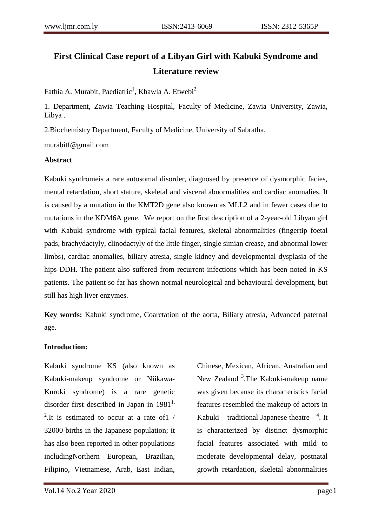# **First Clinical Case report of a Libyan Girl with Kabuki Syndrome and Literature review**

Fathia A. Murabit, Paediatric<sup>1</sup>, Khawla A. Etwebi<sup>2</sup>

1. Department, Zawia Teaching Hospital, Faculty of Medicine, Zawia University, Zawia, Libya .

2.Biochemistry Department, Faculty of Medicine, University of Sabratha.

murabitf@gmail.com

## **Abstract**

Kabuki syndromeis a rare autosomal disorder, diagnosed by presence of dysmorphic facies, mental retardation, short stature, skeletal and visceral abnormalities and cardiac anomalies. It is caused by a mutation in the KMT2D gene also known as MLL2 and in fewer cases due to mutations in the KDM6A gene. We report on the first description of a 2-year-old Libyan girl with Kabuki syndrome with typical facial features, skeletal abnormalities (fingertip foetal pads, brachydactyly, clinodactyly of the little finger, single simian crease, and abnormal lower limbs), cardiac anomalies, biliary atresia, single kidney and developmental dysplasia of the hips DDH. The patient also suffered from recurrent infections which has been noted in KS patients. The patient so far has shown normal neurological and behavioural development, but still has high liver enzymes.

**Key words:** Kabuki syndrome, Coarctation of the aorta, Biliary atresia, Advanced paternal age.

## **Introduction:**

Kabuki syndrome KS (also known as Kabuki-makeup syndrome or Niikawa-Kuroki syndrome) is a rare genetic disorder first described in Japan in  $1981<sup>1</sup>$ , <sup>2</sup>. It is estimated to occur at a rate of 1  $/$ 32000 births in the Japanese population; it has also been reported in other populations includingNorthern European, Brazilian, Filipino, Vietnamese, Arab, East Indian,

Chinese, Mexican, African, Australian and New Zealand <sup>3</sup>. The Kabuki-makeup name was given because its characteristics facial features resembled the makeup of actors in Kabuki – traditional Japanese theatre  $-$ <sup>4</sup>. It is characterized by distinct dysmorphic facial features associated with mild to moderate developmental delay, postnatal growth retardation, skeletal abnormalities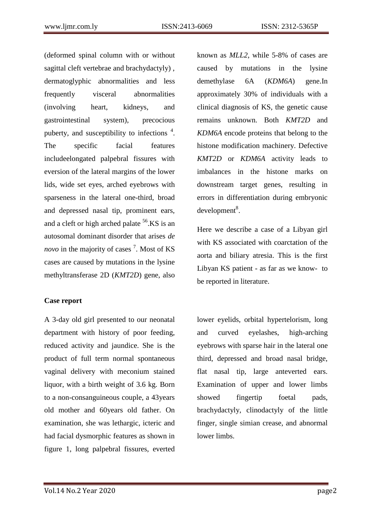(deformed spinal column with or without sagittal cleft vertebrae and brachydactyly) , dermatoglyphic abnormalities and less frequently visceral abnormalities (involving heart, kidneys, and gastrointestinal system), precocious puberty, and susceptibility to infections  $4$ . The specific facial features includeelongated palpebral fissures with eversion of the lateral margins of the lower lids, wide set eyes, arched eyebrows with sparseness in the lateral one-third, broad and depressed nasal tip, prominent ears, and a cleft or high arched palate  $56$ .KS is an autosomal dominant disorder that arises *de*  novo in the majority of cases<sup>7</sup>. Most of KS cases are caused by mutations in the lysine methyltransferase 2D (*KMT2D*) gene, also

## **Case report**

A 3-day old girl presented to our neonatal department with history of poor feeding, reduced activity and jaundice. She is the product of full term normal spontaneous vaginal delivery with meconium stained liquor, with a birth weight of 3.6 kg. Born to a non-consanguineous couple, a 43years old mother and 60years old father. On examination, she was lethargic, icteric and had facial dysmorphic features as shown in figure 1, long palpebral fissures, everted known as *MLL2*, while 5-8% of cases are caused by mutations in the lysine demethylase 6A (*KDM6A*) gene.In approximately 30% of individuals with a clinical diagnosis of KS, the genetic cause remains unknown. Both *KMT2D* and *KDM6A* encode proteins that belong to the histone modification machinery. Defective *KMT2D* or *KDM6A* activity leads to imbalances in the histone marks on downstream target genes, resulting in errors in differentiation during embryonic development<sup>8</sup>.

Here we describe a case of a Libyan girl with KS associated with coarctation of the aorta and biliary atresia. This is the first Libyan KS patient - as far as we know- to be reported in literature.

lower eyelids, orbital hypertelorism, long and curved eyelashes, high-arching eyebrows with sparse hair in the lateral one third, depressed and broad nasal bridge, flat nasal tip, large anteverted ears. Examination of upper and lower limbs showed fingertip foetal pads, brachydactyly, clinodactyly of the little finger, single simian crease, and abnormal lower limbs.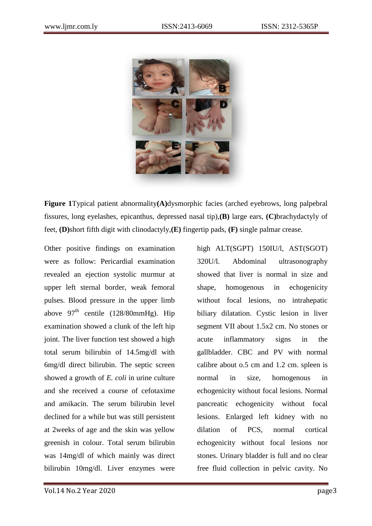

**Figure 1**Typical patient abnormality**(A)**dysmorphic facies (arched eyebrows, long palpebral fissures, long eyelashes, epicanthus, depressed nasal tip),**(B)** large ears, **(C)**brachydactyly of feet, **(D)**short fifth digit with clinodactyly,**(E)** fingertip pads, **(F)** single palmar crease.

Other positive findings on examination were as follow: Pericardial examination revealed an ejection systolic murmur at upper left sternal border, weak femoral pulses. Blood pressure in the upper limb above  $97<sup>th</sup>$  centile (128/80mmHg). Hip examination showed a clunk of the left hip joint. The liver function test showed a high total serum bilirubin of 14.5mg/dl with 6mg/dl direct bilirubin. The septic screen showed a growth of *E. coli* in urine culture and she received a course of cefotaxime and amikacin. The serum bilirubin level declined for a while but was still persistent at 2weeks of age and the skin was yellow greenish in colour. Total serum bilirubin was 14mg/dl of which mainly was direct bilirubin 10mg/dl. Liver enzymes were high ALT(SGPT) 150IU/l, AST(SGOT) 320U/l. Abdominal ultrasonography showed that liver is normal in size and shape, homogenous in echogenicity without focal lesions, no intrahepatic biliary dilatation. Cystic lesion in liver segment VII about 1.5x2 cm. No stones or acute inflammatory signs in the gallbladder. CBC and PV with normal calibre about o.5 cm and 1.2 cm. spleen is normal in size, homogenous in echogenicity without focal lesions. Normal pancreatic echogenicity without focal lesions. Enlarged left kidney with no dilation of PCS, normal cortical echogenicity without focal lesions nor stones. Urinary bladder is full and no clear free fluid collection in pelvic cavity. No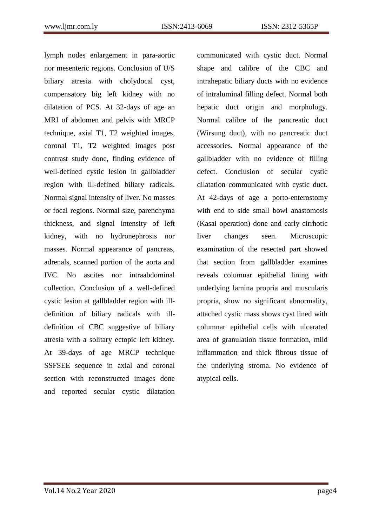lymph nodes enlargement in para-aortic nor mesenteric regions. Conclusion of U/S biliary atresia with cholydocal cyst, compensatory big left kidney with no dilatation of PCS. At 32-days of age an MRI of abdomen and pelvis with MRCP technique, axial T1, T2 weighted images, coronal T1, T2 weighted images post contrast study done, finding evidence of well-defined cystic lesion in gallbladder region with ill-defined biliary radicals. Normal signal intensity of liver. No masses or focal regions. Normal size, parenchyma thickness, and signal intensity of left kidney, with no hydronephrosis nor masses. Normal appearance of pancreas, adrenals, scanned portion of the aorta and IVC. No ascites nor intraabdominal collection. Conclusion of a well-defined cystic lesion at gallbladder region with illdefinition of biliary radicals with illdefinition of CBC suggestive of biliary atresia with a solitary ectopic left kidney. At 39-days of age MRCP technique SSFSEE sequence in axial and coronal section with reconstructed images done and reported secular cystic dilatation communicated with cystic duct. Normal shape and calibre of the CBC and intrahepatic biliary ducts with no evidence of intraluminal filling defect. Normal both hepatic duct origin and morphology. Normal calibre of the pancreatic duct (Wirsung duct), with no pancreatic duct accessories. Normal appearance of the gallbladder with no evidence of filling defect. Conclusion of secular cystic dilatation communicated with cystic duct. At 42-days of age a porto-enterostomy with end to side small bowl anastomosis (Kasai operation) done and early cirrhotic liver changes seen. Microscopic examination of the resected part showed that section from gallbladder examines reveals columnar epithelial lining with underlying lamina propria and muscularis propria, show no significant abnormality, attached cystic mass shows cyst lined with columnar epithelial cells with ulcerated area of granulation tissue formation, mild inflammation and thick fibrous tissue of the underlying stroma. No evidence of atypical cells.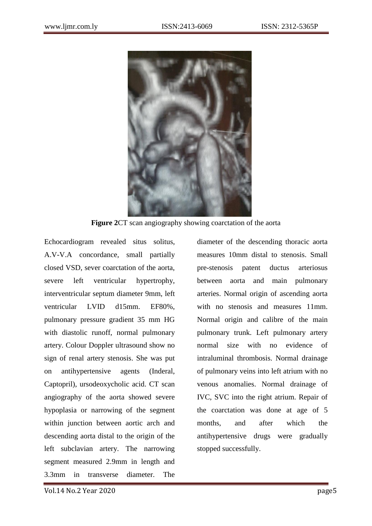

**Figure 2**CT scan angiography showing coarctation of the aorta

Echocardiogram revealed situs solitus, A.V-V.A concordance, small partially closed VSD, sever coarctation of the aorta, severe left ventricular hypertrophy, interventricular septum diameter 9mm, left ventricular LVID d15mm. EF80%, pulmonary pressure gradient 35 mm HG with diastolic runoff, normal pulmonary artery. Colour Doppler ultrasound show no sign of renal artery stenosis. She was put on antihypertensive agents (Inderal, Captopril), ursodeoxycholic acid. CT scan angiography of the aorta showed severe hypoplasia or narrowing of the segment within junction between aortic arch and descending aorta distal to the origin of the left subclavian artery. The narrowing segment measured 2.9mm in length and 3.3mm in transverse diameter. The diameter of the descending thoracic aorta measures 10mm distal to stenosis. Small pre-stenosis patent ductus arteriosus between aorta and main pulmonary arteries. Normal origin of ascending aorta with no stenosis and measures 11mm. Normal origin and calibre of the main pulmonary trunk. Left pulmonary artery normal size with no evidence of intraluminal thrombosis. Normal drainage of pulmonary veins into left atrium with no venous anomalies. Normal drainage of IVC, SVC into the right atrium. Repair of the coarctation was done at age of 5 months, and after which the antihypertensive drugs were gradually stopped successfully.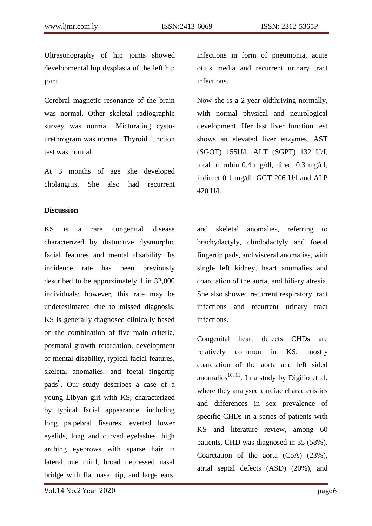Ultrasonography of hip joints showed developmental hip dysplasia of the left hip joint.

Cerebral magnetic resonance of the brain was normal. Other skeletal radiographic survey was normal. Micturating cystourethrogram was normal. Thyroid function test was normal.

At 3 months of age she developed cholangitis. She also had recurrent

### **Discussion**

KS is a rare congenital disease characterized by distinctive dysmorphic facial features and mental disability. Its incidence rate has been previously described to be approximately 1 in 32,000 individuals; however, this rate may be underestimated due to missed diagnosis. KS is generally diagnosed clinically based on the combination of five main criteria, postnatal growth retardation, development of mental disability, typical facial features, skeletal anomalies, and foetal fingertip pads<sup>9</sup>. Our study describes a case of a young Libyan girl with KS, characterized by typical facial appearance, including long palpebral fissures, everted lower eyelids, long and curved eyelashes, high arching eyebrows with sparse hair in lateral one third, broad depressed nasal bridge with flat nasal tip, and large ears,

infections in form of pneumonia, acute otitis media and recurrent urinary tract infections.

Now she is a 2-year-oldthriving normally, with normal physical and neurological development. Her last liver function test shows an elevated liver enzymes, AST (SGOT) 155U/l, ALT (SGPT) 132 U/I, total bilirubin 0.4 mg/dl, direct 0.3 mg/dl, indirect 0.1 mg/dl, GGT 206 U/l and ALP 420 U/l.

and skeletal anomalies, referring to brachydactyly, clindodactyly and foetal fingertip pads, and visceral anomalies, with single left kidney, heart anomalies and coarctation of the aorta, and biliary atresia. She also showed recurrent respiratory tract infections and recurrent urinary tract infections.

Congenital heart defects CHDs are relatively common in KS, mostly coarctation of the aorta and left sided anomalies<sup>10, 11</sup>. In a study by Digilio et al. where they analysed cardiac characteristics and differences in sex prevalence of specific CHDs in a series of patients with KS and literature review, among 60 patients, CHD was diagnosed in 35 (58%). Coarctation of the aorta (CoA) (23%), atrial septal defects (ASD) (20%), and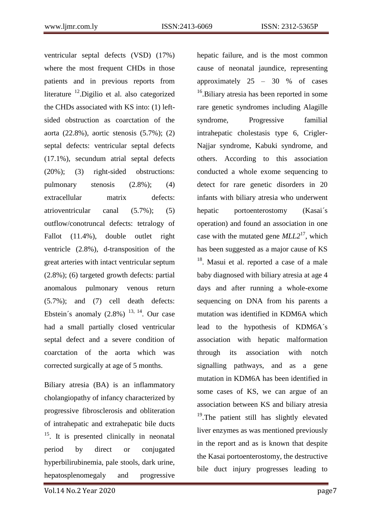ventricular septal defects (VSD) (17%) where the most frequent CHDs in those patients and in previous reports from literature  $^{12}$ . Digilio et al. also categorized the CHDs associated with KS into: (1) leftsided obstruction as coarctation of the aorta (22.8%), aortic stenosis (5.7%); (2) septal defects: ventricular septal defects (17.1%), secundum atrial septal defects (20%); (3) right-sided obstructions: pulmonary stenosis (2.8%); (4) extracellular matrix defects: atrioventricular canal (5.7%); (5) outflow/conotruncal defects: tetralogy of Fallot (11.4%), double outlet right ventricle (2.8%), d-transposition of the great arteries with intact ventricular septum (2.8%); (6) targeted growth defects: partial anomalous pulmonary venous return (5.7%); and (7) cell death defects: Ebstein's anomaly  $(2.8\%)$  <sup>13, 14</sup>. Our case had a small partially closed ventricular septal defect and a severe condition of coarctation of the aorta which was corrected surgically at age of 5 months.

Biliary atresia (BA) is an inflammatory cholangiopathy of infancy characterized by progressive fibrosclerosis and obliteration of intrahepatic and extrahepatic bile ducts  $15$ . It is presented clinically in neonatal period by direct or conjugated hyperbilirubinemia, pale stools, dark urine, hepatosplenomegaly and progressive

Vol.14 No.2 Year 2020 page7

hepatic failure, and is the most common cause of neonatal jaundice, representing approximately  $25 - 30$  % of cases <sup>16</sup>.Biliary atresia has been reported in some rare genetic syndromes including Alagille syndrome, Progressive familial intrahepatic cholestasis type 6, Crigler-Najjar syndrome, Kabuki syndrome, and others. According to this association conducted a whole exome sequencing to detect for rare genetic disorders in 20 infants with biliary atresia who underwent hepatic portoenterostomy (Kasai´s operation) and found an association in one case with the mutated gene *MLL2*<sup>17</sup>, which has been suggested as a major cause of KS <sup>18</sup>. Masui et al. reported a case of a male baby diagnosed with biliary atresia at age 4 days and after running a whole-exome sequencing on DNA from his parents a mutation was identified in KDM6A which lead to the hypothesis of KDM6A´s association with hepatic malformation through its association with notch signalling pathways, and as a gene mutation in KDM6A has been identified in some cases of KS, we can argue of an association between KS and biliary atresia <sup>19</sup>.The patient still has slightly elevated liver enzymes as was mentioned previously in the report and as is known that despite the Kasai portoenterostomy, the destructive bile duct injury progresses leading to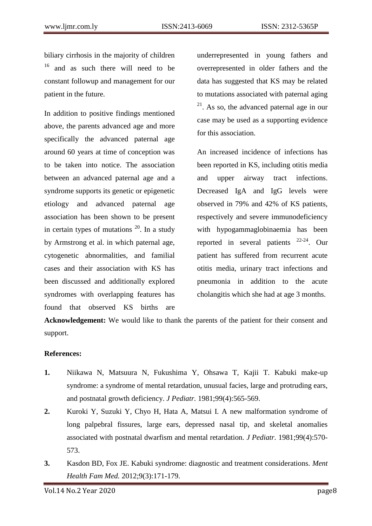biliary cirrhosis in the majority of children <sup>16</sup> and as such there will need to be constant followup and management for our patient in the future.

In addition to positive findings mentioned above, the parents advanced age and more specifically the advanced paternal age around 60 years at time of conception was to be taken into notice. The association between an advanced paternal age and a syndrome supports its genetic or epigenetic etiology and advanced paternal age association has been shown to be present in certain types of mutations  $^{20}$ . In a study by Armstrong et al. in which paternal age, cytogenetic abnormalities, and familial cases and their association with KS has been discussed and additionally explored syndromes with overlapping features has found that observed KS births are

underrepresented in young fathers and overrepresented in older fathers and the data has suggested that KS may be related to mutations associated with paternal aging <sup>21</sup>. As so, the advanced paternal age in our case may be used as a supporting evidence for this association.

An increased incidence of infections has been reported in KS, including otitis media and upper airway tract infections. Decreased IgA and IgG levels were observed in 79% and 42% of KS patients, respectively and severe immunodeficiency with hypogammaglobinaemia has been reported in several patients  $22-24$ . Our patient has suffered from recurrent acute otitis media, urinary tract infections and pneumonia in addition to the acute cholangitis which she had at age 3 months.

**Acknowledgement:** We would like to thank the parents of the patient for their consent and support.

## **References:**

- **1.** Niikawa N, Matsuura N, Fukushima Y, Ohsawa T, Kajii T. Kabuki make-up syndrome: a syndrome of mental retardation, unusual facies, large and protruding ears, and postnatal growth deficiency. *J Pediatr.* 1981;99(4):565-569.
- **2.** Kuroki Y, Suzuki Y, Chyo H, Hata A, Matsui I. A new malformation syndrome of long palpebral fissures, large ears, depressed nasal tip, and skeletal anomalies associated with postnatal dwarfism and mental retardation. *J Pediatr.* 1981;99(4):570- 573.
- **3.** Kasdon BD, Fox JE. Kabuki syndrome: diagnostic and treatment considerations. *Ment Health Fam Med.* 2012;9(3):171-179.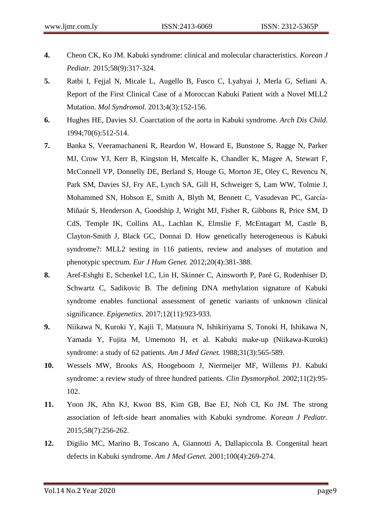- **4.** Cheon CK, Ko JM. Kabuki syndrome: clinical and molecular characteristics. *Korean J Pediatr.* 2015;58(9):317-324.
- **5.** Ratbi I, Fejjal N, Micale L, Augello B, Fusco C, Lyahyai J, Merla G, Sefiani A. Report of the First Clinical Case of a Moroccan Kabuki Patient with a Novel MLL2 Mutation. *Mol Syndromol.* 2013;4(3):152-156.
- **6.** Hughes HE, Davies SJ. Coarctation of the aorta in Kabuki syndrome. *Arch Dis Child.*  1994;70(6):512-514.
- **7.** Banka S, Veeramachaneni R, Reardon W, Howard E, Bunstone S, Ragge N, Parker MJ, Crow YJ, Kerr B, Kingston H, Metcalfe K, Chandler K, Magee A, Stewart F, McConnell VP, Donnelly DE, Berland S, Houge G, Morton JE, Oley C, Revencu N, Park SM, Davies SJ, Fry AE, Lynch SA, Gill H, Schweiger S, Lam WW, Tolmie J, Mohammed SN, Hobson E, Smith A, Blyth M, Bennett C, Vasudevan PC, García-Miñaúr S, Henderson A, Goodship J, Wright MJ, Fisher R, Gibbons R, Price SM, D CdS, Temple IK, Collins AL, Lachlan K, Elmslie F, McEntagart M, Castle B, Clayton-Smith J, Black GC, Donnai D. How genetically heterogeneous is Kabuki syndrome?: MLL2 testing in 116 patients, review and analyses of mutation and phenotypic spectrum. *Eur J Hum Genet.* 2012;20(4):381-388.
- **8.** Aref-Eshghi E, Schenkel LC, Lin H, Skinner C, Ainsworth P, Paré G, Rodenhiser D, Schwartz C, Sadikovic B. The defining DNA methylation signature of Kabuki syndrome enables functional assessment of genetic variants of unknown clinical significance. *Epigenetics.* 2017;12(11):923-933.
- **9.** Niikawa N, Kuroki Y, Kajii T, Matsuura N, Ishikiriyama S, Tonoki H, Ishikawa N, Yamada Y, Fujita M, Umemoto H, et al. Kabuki make-up (Niikawa-Kuroki) syndrome: a study of 62 patients. *Am J Med Genet.* 1988;31(3):565-589.
- **10.** Wessels MW, Brooks AS, Hoogeboom J, Niermeijer MF, Willems PJ. Kabuki syndrome: a review study of three hundred patients. *Clin Dysmorphol.* 2002;11(2):95- 102.
- **11.** Yoon JK, Ahn KJ, Kwon BS, Kim GB, Bae EJ, Noh CI, Ko JM. The strong association of left-side heart anomalies with Kabuki syndrome. *Korean J Pediatr.*  2015;58(7):256-262.
- **12.** Digilio MC, Marino B, Toscano A, Giannotti A, Dallapiccola B. Congenital heart defects in Kabuki syndrome. *Am J Med Genet.* 2001;100(4):269-274.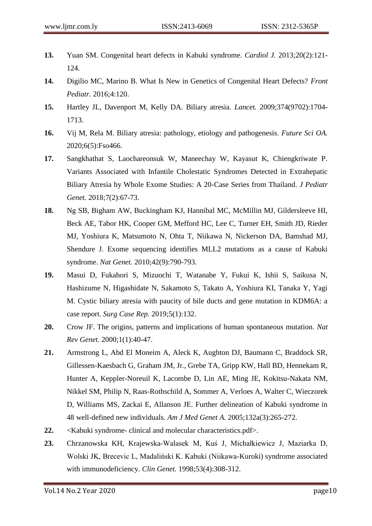- **13.** Yuan SM. Congenital heart defects in Kabuki syndrome. *Cardiol J.* 2013;20(2):121- 124.
- **14.** Digilio MC, Marino B. What Is New in Genetics of Congenital Heart Defects? *Front Pediatr.* 2016;4:120.
- **15.** Hartley JL, Davenport M, Kelly DA. Biliary atresia. *Lancet.* 2009;374(9702):1704- 1713.
- **16.** Vij M, Rela M. Biliary atresia: pathology, etiology and pathogenesis. *Future Sci OA.*  2020;6(5):Fso466.
- **17.** Sangkhathat S, Laochareonsuk W, Maneechay W, Kayasut K, Chiengkriwate P. Variants Associated with Infantile Cholestatic Syndromes Detected in Extrahepatic Biliary Atresia by Whole Exome Studies: A 20-Case Series from Thailand. *J Pediatr Genet.* 2018;7(2):67-73.
- **18.** Ng SB, Bigham AW, Buckingham KJ, Hannibal MC, McMillin MJ, Gildersleeve HI, Beck AE, Tabor HK, Cooper GM, Mefford HC, Lee C, Turner EH, Smith JD, Rieder MJ, Yoshiura K, Matsumoto N, Ohta T, Niikawa N, Nickerson DA, Bamshad MJ, Shendure J. Exome sequencing identifies MLL2 mutations as a cause of Kabuki syndrome. *Nat Genet.* 2010;42(9):790-793.
- **19.** Masui D, Fukahori S, Mizuochi T, Watanabe Y, Fukui K, Ishii S, Saikusa N, Hashizume N, Higashidate N, Sakamoto S, Takato A, Yoshiura KI, Tanaka Y, Yagi M. Cystic biliary atresia with paucity of bile ducts and gene mutation in KDM6A: a case report. *Surg Case Rep.* 2019;5(1):132.
- **20.** Crow JF. The origins, patterns and implications of human spontaneous mutation. *Nat Rev Genet.* 2000;1(1):40-47.
- **21.** Armstrong L, Abd El Moneim A, Aleck K, Aughton DJ, Baumann C, Braddock SR, Gillessen-Kaesbach G, Graham JM, Jr., Grebe TA, Gripp KW, Hall BD, Hennekam R, Hunter A, Keppler-Noreuil K, Lacombe D, Lin AE, Ming JE, Kokitsu-Nakata NM, Nikkel SM, Philip N, Raas-Rothschild A, Sommer A, Verloes A, Walter C, Wieczorek D, Williams MS, Zackai E, Allanson JE. Further delineation of Kabuki syndrome in 48 well-defined new individuals. *Am J Med Genet A.* 2005;132a(3):265-272.
- **22.** <Kabuki syndrome- clinical and molecular characteristics.pdf>.
- **23.** Chrzanowska KH, Krajewska-Walasek M, Kuś J, Michałkiewicz J, Maziarka D, Wolski JK, Brecevic L, Madaliński K. Kabuki (Niikawa-Kuroki) syndrome associated with immunodeficiency. *Clin Genet.* 1998;53(4):308-312.